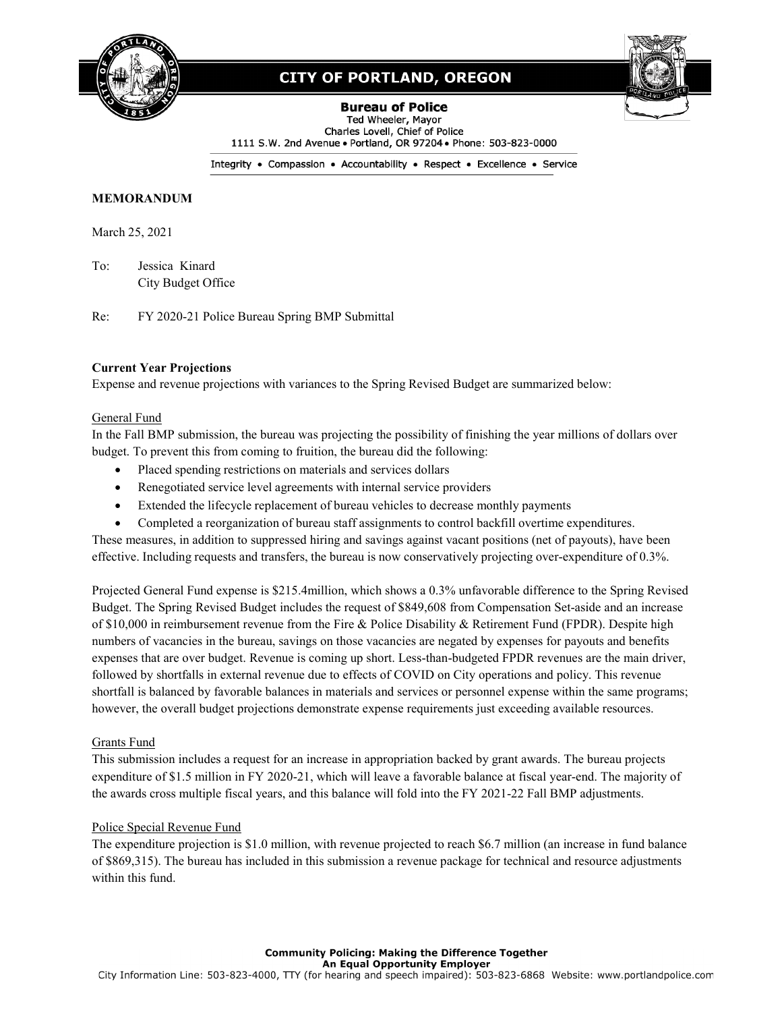

# **CITY OF PORTLAND, OREGON**

**Bureau of Police** Ted Wheeler, Mayor Charles Lovell, Chief of Police 1111 S.W. 2nd Avenue . Portland, OR 97204 . Phone: 503-823-0000

Integrity . Compassion . Accountability . Respect . Excellence . Service

## **MEMORANDUM**

March 25, 2021

To: Jessica Kinard City Budget Office

Re: FY 2020-21 Police Bureau Spring BMP Submittal

### **Current Year Projections**

Expense and revenue projections with variances to the Spring Revised Budget are summarized below:

### General Fund

In the Fall BMP submission, the bureau was projecting the possibility of finishing the year millions of dollars over budget. To prevent this from coming to fruition, the bureau did the following:

- Placed spending restrictions on materials and services dollars
- Renegotiated service level agreements with internal service providers
- Extended the lifecycle replacement of bureau vehicles to decrease monthly payments
- Completed a reorganization of bureau staff assignments to control backfill overtime expenditures.

These measures, in addition to suppressed hiring and savings against vacant positions (net of payouts), have been effective. Including requests and transfers, the bureau is now conservatively projecting over-expenditure of 0.3%.

Projected General Fund expense is \$215.4million, which shows a 0.3% unfavorable difference to the Spring Revised Budget. The Spring Revised Budget includes the request of \$849,608 from Compensation Set-aside and an increase of \$10,000 in reimbursement revenue from the Fire & Police Disability & Retirement Fund (FPDR). Despite high numbers of vacancies in the bureau, savings on those vacancies are negated by expenses for payouts and benefits expenses that are over budget. Revenue is coming up short. Less-than-budgeted FPDR revenues are the main driver, followed by shortfalls in external revenue due to effects of COVID on City operations and policy. This revenue shortfall is balanced by favorable balances in materials and services or personnel expense within the same programs; however, the overall budget projections demonstrate expense requirements just exceeding available resources.

## Grants Fund

This submission includes a request for an increase in appropriation backed by grant awards. The bureau projects expenditure of \$1.5 million in FY 2020-21, which will leave a favorable balance at fiscal year-end. The majority of the awards cross multiple fiscal years, and this balance will fold into the FY 2021-22 Fall BMP adjustments.

#### Police Special Revenue Fund

The expenditure projection is \$1.0 million, with revenue projected to reach \$6.7 million (an increase in fund balance of \$869,315). The bureau has included in this submission a revenue package for technical and resource adjustments within this fund.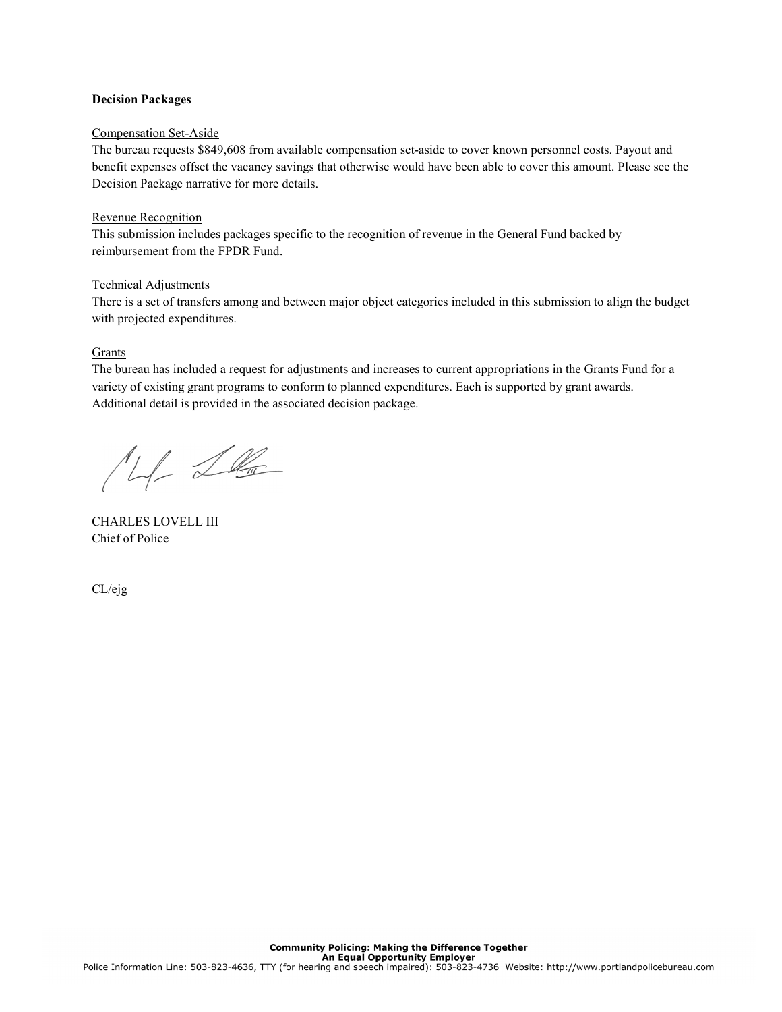### **Decision Packages**

#### Compensation Set-Aside

The bureau requests \$849,608 from available compensation set-aside to cover known personnel costs. Payout and benefit expenses offset the vacancy savings that otherwise would have been able to cover this amount. Please see the Decision Package narrative for more details.

### Revenue Recognition

This submission includes packages specific to the recognition of revenue in the General Fund backed by reimbursement from the FPDR Fund.

### Technical Adjustments

There is a set of transfers among and between major object categories included in this submission to align the budget with projected expenditures.

### **Grants**

The bureau has included a request for adjustments and increases to current appropriations in the Grants Fund for a variety of existing grant programs to conform to planned expenditures. Each is supported by grant awards. Additional detail is provided in the associated decision package.

M De

CHARLES LOVELL III Chief of Police

CL/ejg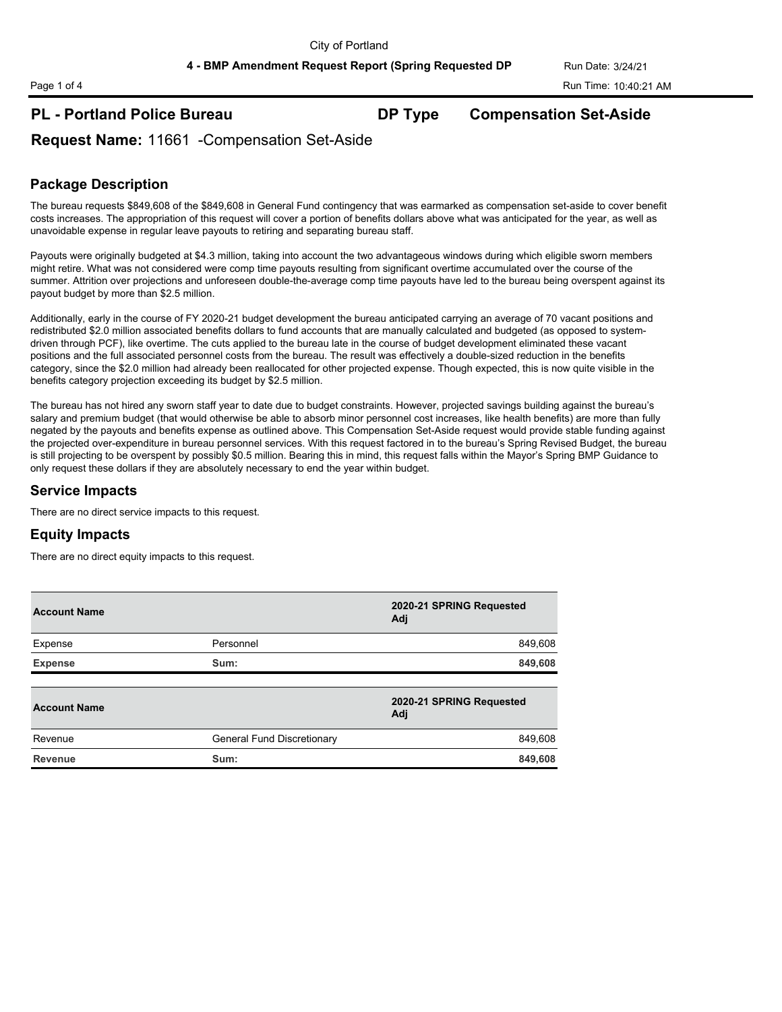**4 - BMP Amendment Request Report (Spring Requested DP Run Date: 3/24/21)** 

# **PL - Portland Police Bureau DP Type Compensation Set-Aside**

**Request Name:** 11661 -Compensation Set-Aside

## **Package Description**

The bureau requests \$849,608 of the \$849,608 in General Fund contingency that was earmarked as compensation set-aside to cover benefit costs increases. The appropriation of this request will cover a portion of benefits dollars above what was anticipated for the year, as well as unavoidable expense in regular leave payouts to retiring and separating bureau staff.

Payouts were originally budgeted at \$4.3 million, taking into account the two advantageous windows during which eligible sworn members might retire. What was not considered were comp time payouts resulting from significant overtime accumulated over the course of the summer. Attrition over projections and unforeseen double-the-average comp time payouts have led to the bureau being overspent against its payout budget by more than \$2.5 million.

Additionally, early in the course of FY 2020-21 budget development the bureau anticipated carrying an average of 70 vacant positions and redistributed \$2.0 million associated benefits dollars to fund accounts that are manually calculated and budgeted (as opposed to systemdriven through PCF), like overtime. The cuts applied to the bureau late in the course of budget development eliminated these vacant positions and the full associated personnel costs from the bureau. The result was effectively a double-sized reduction in the benefits category, since the \$2.0 million had already been reallocated for other projected expense. Though expected, this is now quite visible in the benefits category projection exceeding its budget by \$2.5 million.

The bureau has not hired any sworn staff year to date due to budget constraints. However, projected savings building against the bureau's salary and premium budget (that would otherwise be able to absorb minor personnel cost increases, like health benefits) are more than fully negated by the payouts and benefits expense as outlined above. This Compensation Set-Aside request would provide stable funding against the projected over-expenditure in bureau personnel services. With this request factored in to the bureau's Spring Revised Budget, the bureau is still projecting to be overspent by possibly \$0.5 million. Bearing this in mind, this request falls within the Mayor's Spring BMP Guidance to only request these dollars if they are absolutely necessary to end the year within budget.

## **Service Impacts**

There are no direct service impacts to this request.

## **Equity Impacts**

There are no direct equity impacts to this request.

| <b>Account Name</b> |                            | 2020-21 SPRING Requested<br>Adj |
|---------------------|----------------------------|---------------------------------|
| Expense             | Personnel                  | 849,608                         |
| <b>Expense</b>      | Sum:                       | 849,608                         |
| <b>Account Name</b> |                            | 2020-21 SPRING Requested        |
|                     |                            | Adj                             |
| Revenue             | General Fund Discretionary | 849,608                         |
| <b>Revenue</b>      | Sum:                       | 849,608                         |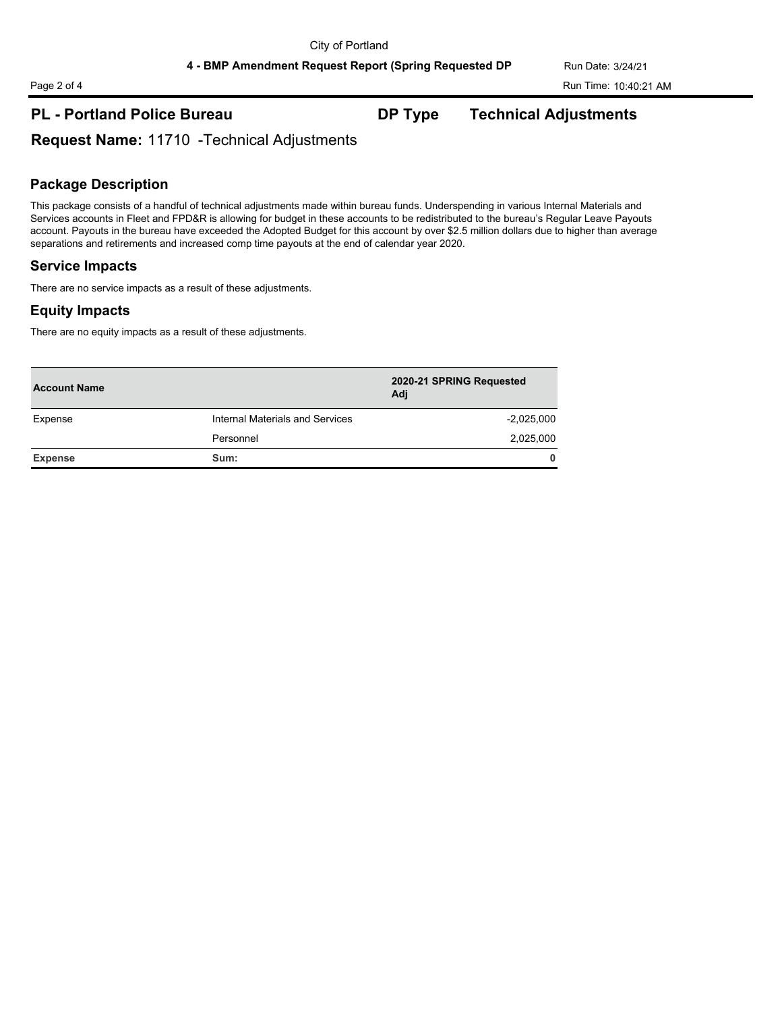# **PL - Portland Police Bureau DP Type Technical Adjustments**

**Request Name:** 11710 -Technical Adjustments

## **Package Description**

This package consists of a handful of technical adjustments made within bureau funds. Underspending in various Internal Materials and Services accounts in Fleet and FPD&R is allowing for budget in these accounts to be redistributed to the bureau's Regular Leave Payouts account. Payouts in the bureau have exceeded the Adopted Budget for this account by over \$2.5 million dollars due to higher than average separations and retirements and increased comp time payouts at the end of calendar year 2020.

## **Service Impacts**

There are no service impacts as a result of these adjustments.

## **Equity Impacts**

There are no equity impacts as a result of these adjustments.

| <b>Account Name</b> |                                 | 2020-21 SPRING Requested<br>Adi |  |  |
|---------------------|---------------------------------|---------------------------------|--|--|
| Expense             | Internal Materials and Services | $-2,025,000$                    |  |  |
|                     | Personnel                       | 2,025,000                       |  |  |
| <b>Expense</b>      | Sum:                            | 0                               |  |  |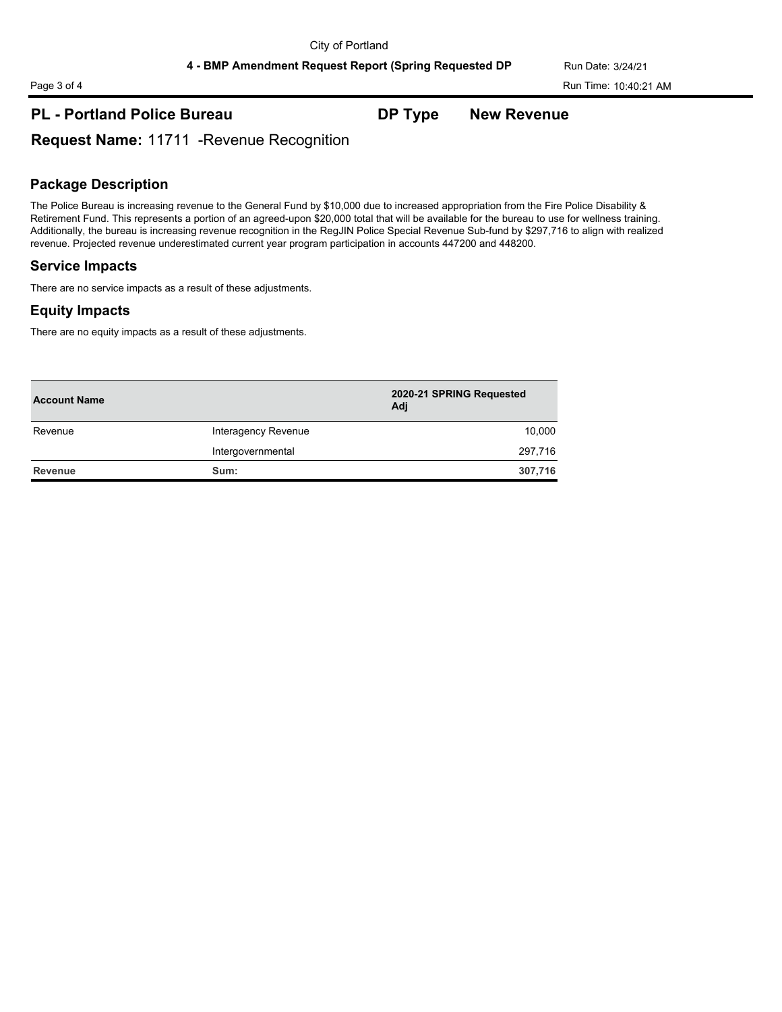# **PL - Portland Police Bureau DP Type New Revenue**

**Request Name:** 11711 -Revenue Recognition

## **Package Description**

The Police Bureau is increasing revenue to the General Fund by \$10,000 due to increased appropriation from the Fire Police Disability & Retirement Fund. This represents a portion of an agreed-upon \$20,000 total that will be available for the bureau to use for wellness training. Additionally, the bureau is increasing revenue recognition in the RegJIN Police Special Revenue Sub-fund by \$297,716 to align with realized revenue. Projected revenue underestimated current year program participation in accounts 447200 and 448200.

## **Service Impacts**

There are no service impacts as a result of these adjustments.

## **Equity Impacts**

There are no equity impacts as a result of these adjustments.

| <b>Account Name</b> |                     | 2020-21 SPRING Requested<br>Adi |
|---------------------|---------------------|---------------------------------|
| Revenue             | Interagency Revenue | 10,000                          |
|                     | Intergovernmental   | 297,716                         |
| <b>Revenue</b>      | Sum:                | 307,716                         |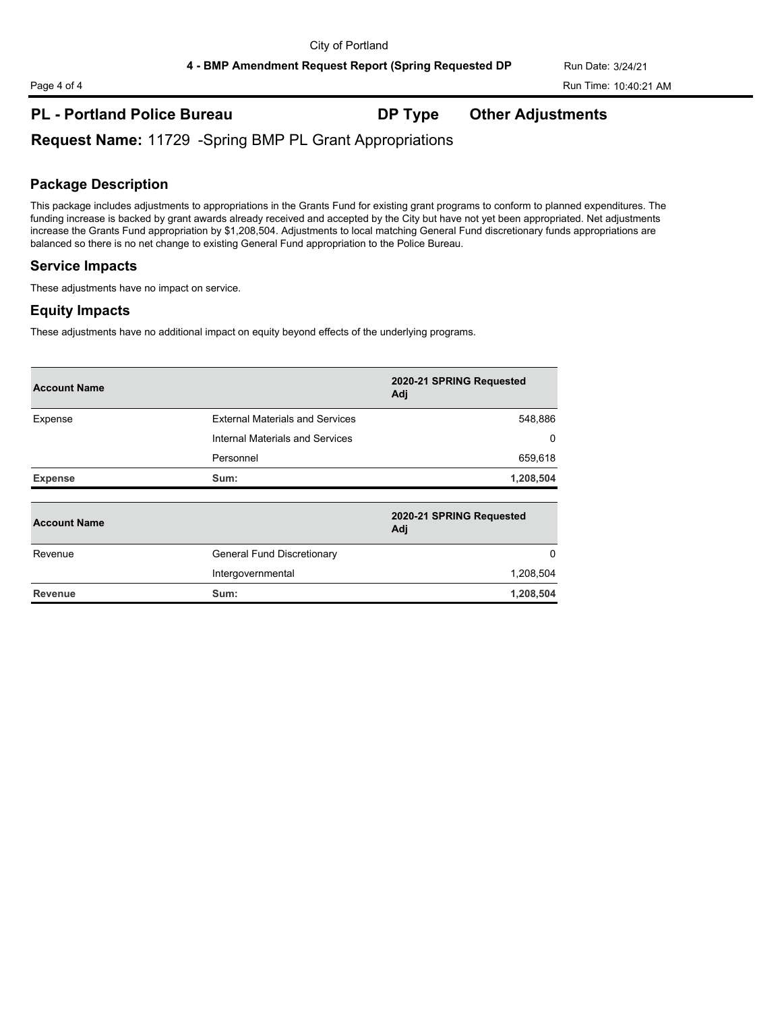4 - BMP Amendment Request Report (Spring Requested DP Run Date: 3/24/21

# **PL - Portland Police Bureau DP Type Other Adjustments**

**Request Name:** 11729 -Spring BMP PL Grant Appropriations

## **Package Description**

This package includes adjustments to appropriations in the Grants Fund for existing grant programs to conform to planned expenditures. The funding increase is backed by grant awards already received and accepted by the City but have not yet been appropriated. Net adjustments increase the Grants Fund appropriation by \$1,208,504. Adjustments to local matching General Fund discretionary funds appropriations are balanced so there is no net change to existing General Fund appropriation to the Police Bureau.

## **Service Impacts**

These adjustments have no impact on service.

## **Equity Impacts**

These adjustments have no additional impact on equity beyond effects of the underlying programs.

| <b>Account Name</b> |                                        | 2020-21 SPRING Requested<br>Adj |
|---------------------|----------------------------------------|---------------------------------|
| Expense             | <b>External Materials and Services</b> | 548,886                         |
|                     | Internal Materials and Services        | 0                               |
|                     | Personnel                              | 659,618                         |
| <b>Expense</b>      | Sum:                                   | 1,208,504                       |
| <b>Account Name</b> |                                        | 2020-21 SPRING Requested<br>Adj |
| Revenue             | General Fund Discretionary             | $\Omega$                        |
|                     | Intergovernmental                      | 1,208,504                       |
| <b>Revenue</b>      | Sum:                                   | 1,208,504                       |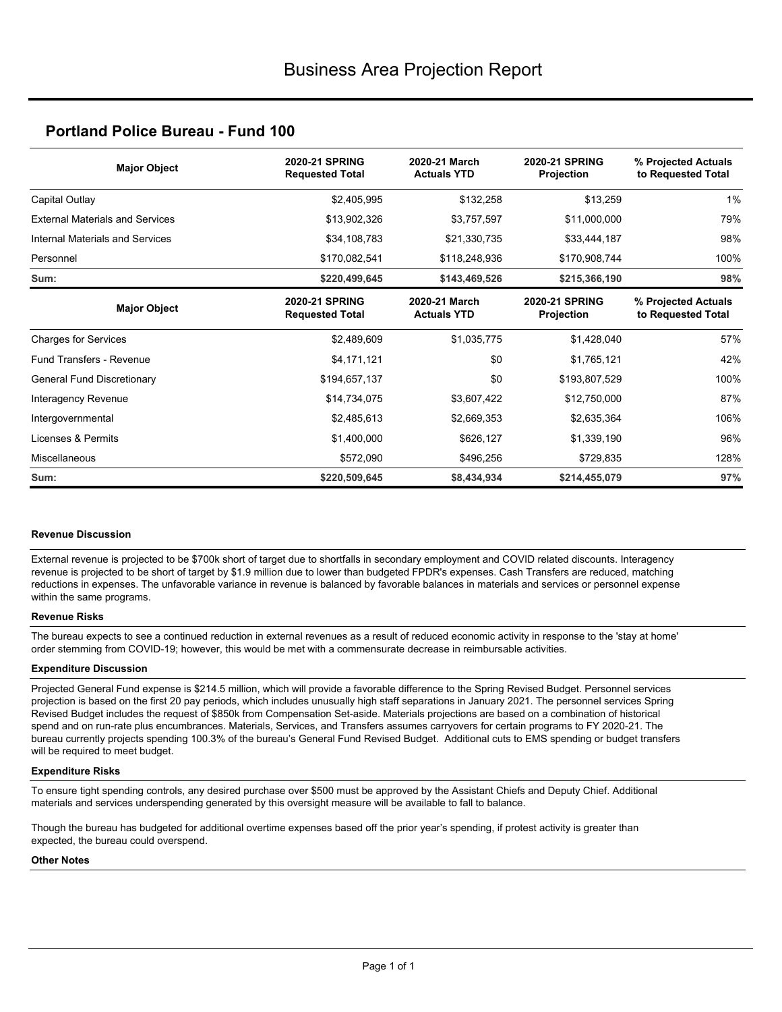## **Portland Police Bureau - Fund 100**

| <b>Major Object</b>                    | <b>2020-21 SPRING</b><br><b>Requested Total</b> | 2020-21 March<br><b>Actuals YTD</b> | <b>2020-21 SPRING</b><br>Projection | % Projected Actuals<br>to Requested Total |  |
|----------------------------------------|-------------------------------------------------|-------------------------------------|-------------------------------------|-------------------------------------------|--|
| Capital Outlay                         | \$2,405,995                                     | \$132,258                           | \$13,259                            | 1%                                        |  |
| <b>External Materials and Services</b> | \$13,902,326                                    | \$3,757,597                         | \$11,000,000                        | 79%                                       |  |
| Internal Materials and Services        | \$34,108,783                                    | \$21,330,735                        | \$33,444,187                        | 98%                                       |  |
| Personnel                              | \$170,082,541                                   | \$118,248,936                       | \$170,908,744                       | 100%                                      |  |
| Sum:                                   | \$220,499,645                                   | \$143,469,526                       | \$215,366,190                       | 98%                                       |  |
| <b>Major Object</b>                    | <b>2020-21 SPRING</b><br><b>Requested Total</b> | 2020-21 March<br><b>Actuals YTD</b> | <b>2020-21 SPRING</b><br>Projection | % Projected Actuals<br>to Requested Total |  |
| <b>Charges for Services</b>            | \$2,489,609                                     | \$1,035,775                         | \$1,428,040                         | 57%                                       |  |
| <b>Fund Transfers - Revenue</b>        | \$4,171,121                                     | \$0                                 | \$1,765,121                         | 42%                                       |  |
| General Fund Discretionary             | \$194,657,137                                   | \$0                                 | \$193,807,529                       | 100%                                      |  |
| Interagency Revenue                    | \$14,734,075                                    | \$3,607,422                         | \$12,750,000                        | 87%                                       |  |
| Intergovernmental                      | \$2,485,613                                     | \$2,669,353                         | \$2,635,364                         | 106%                                      |  |
| Licenses & Permits                     | \$1,400,000                                     | \$626,127                           | \$1,339,190                         | 96%                                       |  |
| Miscellaneous                          | \$572,090                                       | \$496,256                           | \$729,835                           | 128%                                      |  |
| Sum:                                   | \$220,509,645                                   | \$8,434,934                         | \$214,455,079                       | 97%                                       |  |

#### **Revenue Discussion**

External revenue is projected to be \$700k short of target due to shortfalls in secondary employment and COVID related discounts. Interagency revenue is projected to be short of target by \$1.9 million due to lower than budgeted FPDR's expenses. Cash Transfers are reduced, matching reductions in expenses. The unfavorable variance in revenue is balanced by favorable balances in materials and services or personnel expense within the same programs.

#### **Revenue Risks**

The bureau expects to see a continued reduction in external revenues as a result of reduced economic activity in response to the 'stay at home' order stemming from COVID-19; however, this would be met with a commensurate decrease in reimbursable activities.

#### **Expenditure Discussion**

Projected General Fund expense is \$214.5 million, which will provide a favorable difference to the Spring Revised Budget. Personnel services projection is based on the first 20 pay periods, which includes unusually high staff separations in January 2021. The personnel services Spring Revised Budget includes the request of \$850k from Compensation Set-aside. Materials projections are based on a combination of historical spend and on run-rate plus encumbrances. Materials, Services, and Transfers assumes carryovers for certain programs to FY 2020-21. The bureau currently projects spending 100.3% of the bureau's General Fund Revised Budget. Additional cuts to EMS spending or budget transfers will be required to meet budget.

#### **Expenditure Risks**

To ensure tight spending controls, any desired purchase over \$500 must be approved by the Assistant Chiefs and Deputy Chief. Additional materials and services underspending generated by this oversight measure will be available to fall to balance.

Though the bureau has budgeted for additional overtime expenses based off the prior year's spending, if protest activity is greater than expected, the bureau could overspend.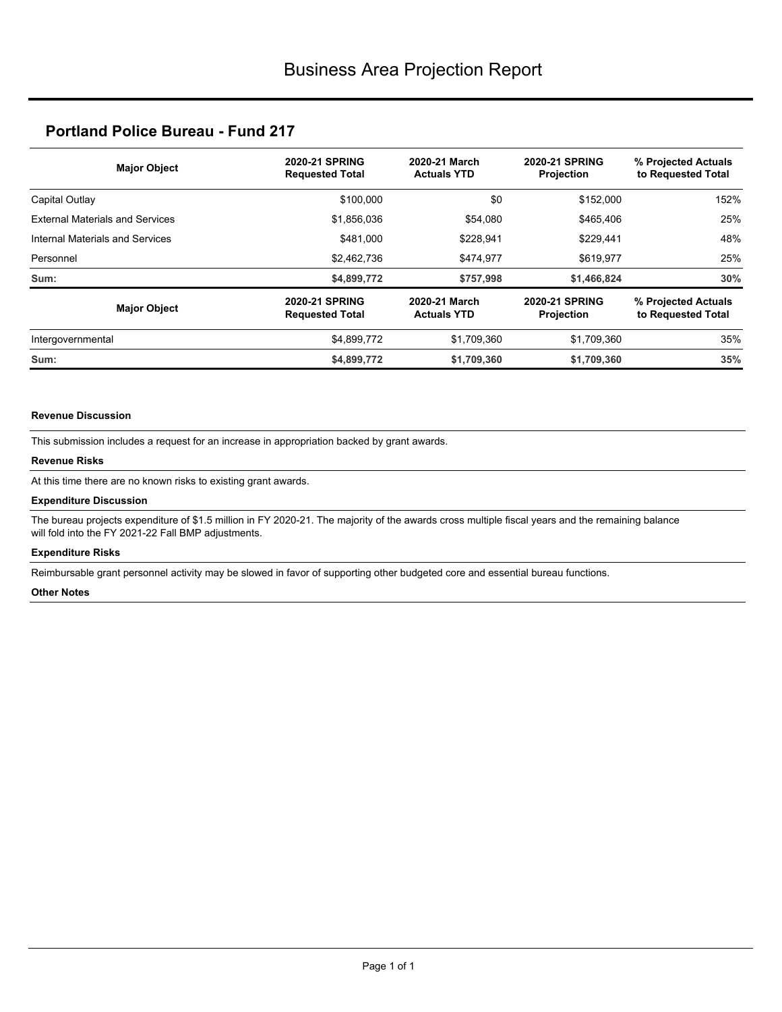# **Portland Police Bureau - Fund 217**

| <b>Major Object</b>                    | <b>2020-21 SPRING</b><br><b>Requested Total</b> | 2020-21 March<br><b>Actuals YTD</b> | <b>2020-21 SPRING</b><br><b>Projection</b> | % Projected Actuals<br>to Requested Total |  |
|----------------------------------------|-------------------------------------------------|-------------------------------------|--------------------------------------------|-------------------------------------------|--|
| Capital Outlay                         | \$100.000                                       | \$0                                 | \$152,000                                  | 152%                                      |  |
| <b>External Materials and Services</b> | \$1,856,036                                     | \$54,080                            | \$465,406                                  | 25%                                       |  |
| Internal Materials and Services        | \$481.000                                       | \$228.941                           | \$229,441                                  | 48%                                       |  |
| Personnel                              | \$2,462,736                                     | \$474,977                           | \$619,977                                  | 25%                                       |  |
| Sum:                                   | \$4,899,772                                     | \$757,998                           | \$1,466,824                                | 30%                                       |  |
| <b>Major Object</b>                    | <b>2020-21 SPRING</b><br><b>Requested Total</b> | 2020-21 March<br><b>Actuals YTD</b> | <b>2020-21 SPRING</b><br><b>Projection</b> | % Projected Actuals<br>to Requested Total |  |
| Intergovernmental                      | \$4,899,772                                     | \$1,709,360                         | \$1,709,360                                | 35%                                       |  |
| Sum:                                   | \$4,899,772                                     | \$1,709,360                         | \$1,709,360                                | 35%                                       |  |

#### **Revenue Discussion**

This submission includes a request for an increase in appropriation backed by grant awards.

#### **Revenue Risks**

At this time there are no known risks to existing grant awards.

#### **Expenditure Discussion**

The bureau projects expenditure of \$1.5 million in FY 2020-21. The majority of the awards cross multiple fiscal years and the remaining balance will fold into the FY 2021-22 Fall BMP adjustments.

#### **Expenditure Risks**

Reimbursable grant personnel activity may be slowed in favor of supporting other budgeted core and essential bureau functions.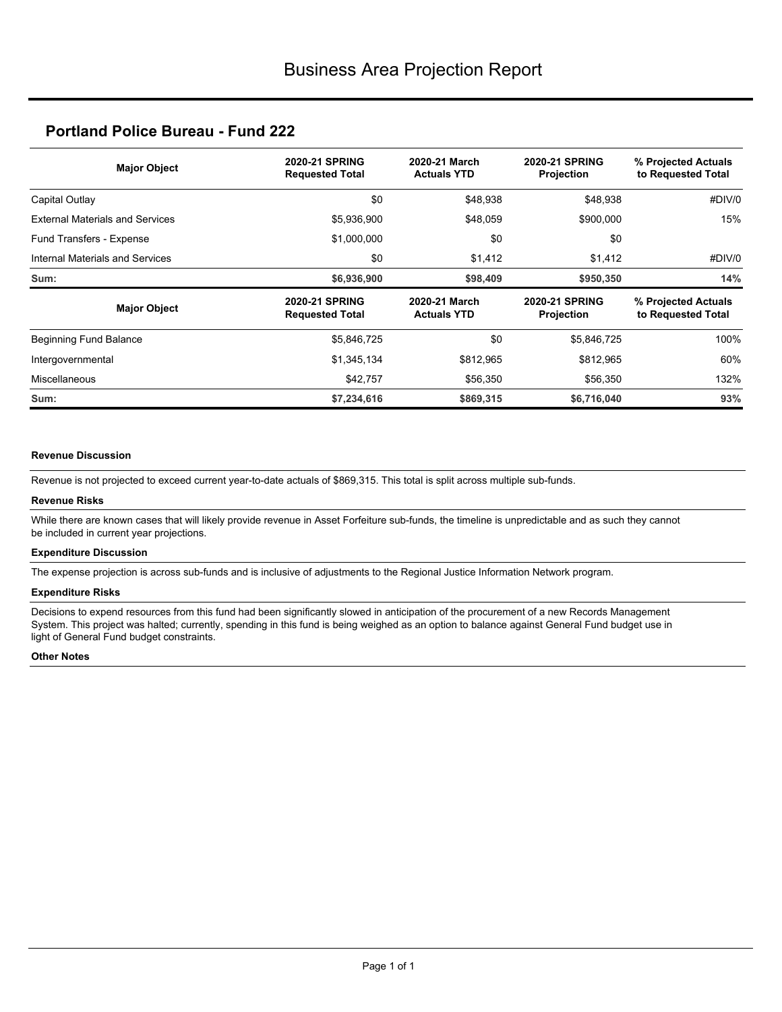## **Portland Police Bureau - Fund 222**

| <b>Major Object</b>                    | <b>2020-21 SPRING</b><br><b>Requested Total</b> | 2020-21 March<br><b>Actuals YTD</b> | <b>2020-21 SPRING</b><br>Projection        | % Projected Actuals<br>to Requested Total |  |
|----------------------------------------|-------------------------------------------------|-------------------------------------|--------------------------------------------|-------------------------------------------|--|
| Capital Outlay                         | \$0                                             | \$48,938                            | \$48,938                                   | #DIV/0                                    |  |
| <b>External Materials and Services</b> | \$5,936,900                                     | \$48,059                            | \$900,000                                  | 15%                                       |  |
| Fund Transfers - Expense               | \$1,000,000                                     | \$0                                 | \$0                                        |                                           |  |
| Internal Materials and Services        | \$0                                             | \$1,412                             | \$1,412                                    | #DIV/0                                    |  |
| Sum:                                   | \$6,936,900                                     | \$98,409                            | \$950,350                                  | 14%                                       |  |
| <b>Major Object</b>                    | <b>2020-21 SPRING</b><br><b>Requested Total</b> | 2020-21 March<br><b>Actuals YTD</b> | <b>2020-21 SPRING</b><br><b>Projection</b> | % Projected Actuals<br>to Requested Total |  |
| <b>Beginning Fund Balance</b>          | \$5,846,725                                     | \$0                                 | \$5,846,725                                | 100%                                      |  |
| Intergovernmental                      | \$1,345,134                                     | \$812,965                           | \$812,965                                  | 60%                                       |  |
| <b>Miscellaneous</b>                   | \$42,757                                        | \$56,350                            | \$56,350                                   | 132%                                      |  |
| Sum:                                   | \$7,234,616                                     | \$869,315                           | \$6,716,040                                | 93%                                       |  |

#### **Revenue Discussion**

Revenue is not projected to exceed current year-to-date actuals of \$869,315. This total is split across multiple sub-funds.

#### **Revenue Risks**

While there are known cases that will likely provide revenue in Asset Forfeiture sub-funds, the timeline is unpredictable and as such they cannot be included in current year projections.

#### **Expenditure Discussion**

The expense projection is across sub-funds and is inclusive of adjustments to the Regional Justice Information Network program.

#### **Expenditure Risks**

Decisions to expend resources from this fund had been significantly slowed in anticipation of the procurement of a new Records Management System. This project was halted; currently, spending in this fund is being weighed as an option to balance against General Fund budget use in light of General Fund budget constraints.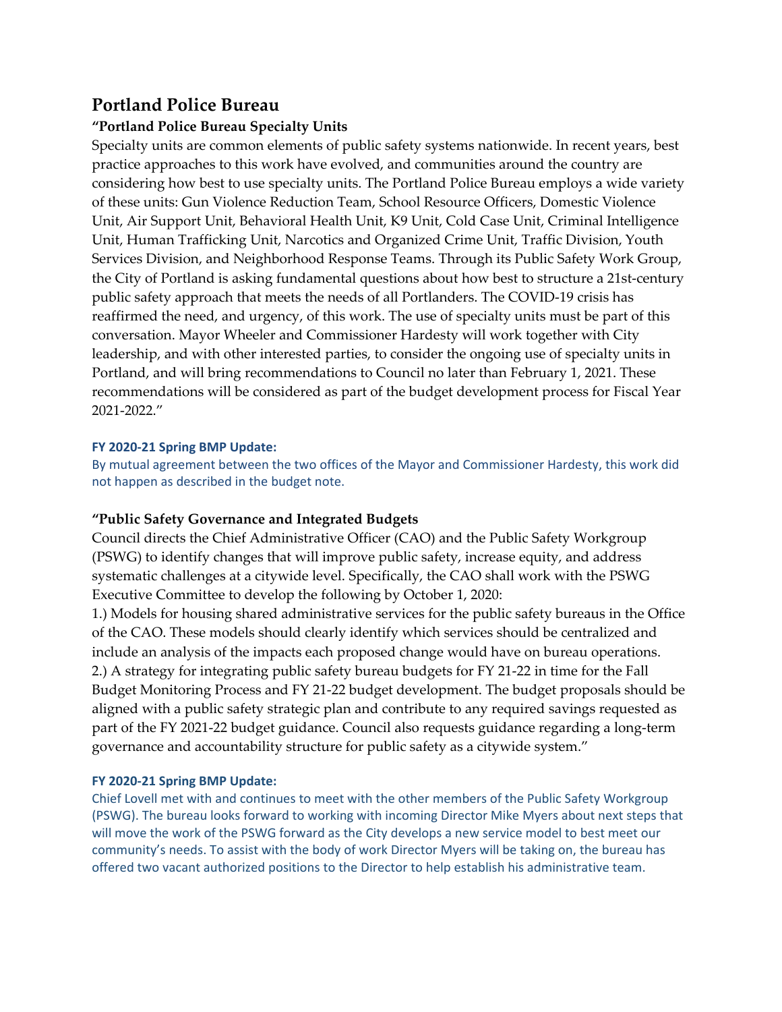# **Portland Police Bureau**

## **"Portland Police Bureau Specialty Units**

Specialty units are common elements of public safety systems nationwide. In recent years, best practice approaches to this work have evolved, and communities around the country are considering how best to use specialty units. The Portland Police Bureau employs a wide variety of these units: Gun Violence Reduction Team, School Resource Officers, Domestic Violence Unit, Air Support Unit, Behavioral Health Unit, K9 Unit, Cold Case Unit, Criminal Intelligence Unit, Human Trafficking Unit, Narcotics and Organized Crime Unit, Traffic Division, Youth Services Division, and Neighborhood Response Teams. Through its Public Safety Work Group, the City of Portland is asking fundamental questions about how best to structure a 21st-century public safety approach that meets the needs of all Portlanders. The COVID‐19 crisis has reaffirmed the need, and urgency, of this work. The use of specialty units must be part of this conversation. Mayor Wheeler and Commissioner Hardesty will work together with City leadership, and with other interested parties, to consider the ongoing use of specialty units in Portland, and will bring recommendations to Council no later than February 1, 2021. These recommendations will be considered as part of the budget development process for Fiscal Year 2021‐2022."

## **FY 2020‐21 Spring BMP Update:**

By mutual agreement between the two offices of the Mayor and Commissioner Hardesty, this work did not happen as described in the budget note.

## **"Public Safety Governance and Integrated Budgets**

Council directs the Chief Administrative Officer (CAO) and the Public Safety Workgroup (PSWG) to identify changes that will improve public safety, increase equity, and address systematic challenges at a citywide level. Specifically, the CAO shall work with the PSWG Executive Committee to develop the following by October 1, 2020:

1.) Models for housing shared administrative services for the public safety bureaus in the Office of the CAO. These models should clearly identify which services should be centralized and include an analysis of the impacts each proposed change would have on bureau operations. 2.) A strategy for integrating public safety bureau budgets for FY 21‐22 in time for the Fall Budget Monitoring Process and FY 21‐22 budget development. The budget proposals should be aligned with a public safety strategic plan and contribute to any required savings requested as part of the FY 2021‐22 budget guidance. Council also requests guidance regarding a long‐term governance and accountability structure for public safety as a citywide system."

## **FY 2020‐21 Spring BMP Update:**

Chief Lovell met with and continues to meet with the other members of the Public Safety Workgroup (PSWG). The bureau looks forward to working with incoming Director Mike Myers about next steps that will move the work of the PSWG forward as the City develops a new service model to best meet our community's needs. To assist with the body of work Director Myers will be taking on, the bureau has offered two vacant authorized positions to the Director to help establish his administrative team.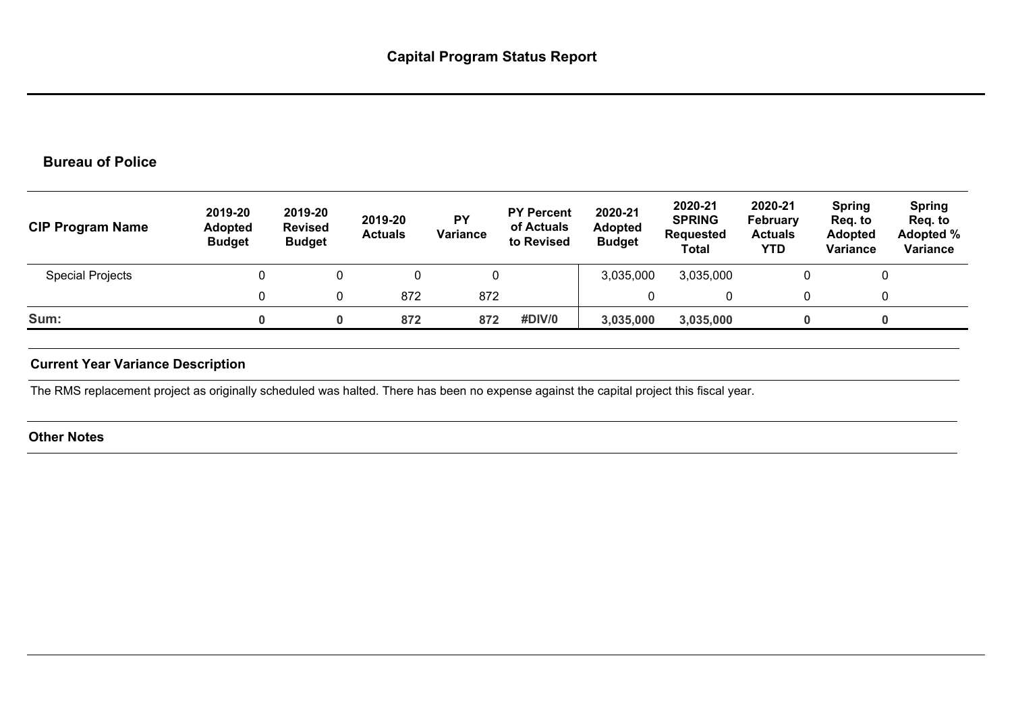# **Bureau of Police**

| <b>CIP Program Name</b> | 2019-20<br><b>Adopted</b><br><b>Budget</b> | 2019-20<br><b>Revised</b><br><b>Budget</b> | 2019-20<br><b>Actuals</b> | <b>PY</b><br>Variance | <b>PY Percent</b><br>of Actuals<br>to Revised | 2020-21<br><b>Adopted</b><br><b>Budget</b> | 2020-21<br><b>SPRING</b><br><b>Requested</b><br>Total | 2020-21<br>February<br><b>Actuals</b><br>YTD | <b>Spring</b><br>Reg. to<br><b>Adopted</b><br>Variance | <b>Spring</b><br>Req. to<br>Adopted %<br>Variance |
|-------------------------|--------------------------------------------|--------------------------------------------|---------------------------|-----------------------|-----------------------------------------------|--------------------------------------------|-------------------------------------------------------|----------------------------------------------|--------------------------------------------------------|---------------------------------------------------|
| <b>Special Projects</b> |                                            |                                            |                           | 0                     |                                               | 3,035,000                                  | 3,035,000                                             |                                              |                                                        |                                                   |
|                         |                                            |                                            | 872                       | 872                   |                                               |                                            |                                                       |                                              |                                                        |                                                   |
| Sum:                    |                                            | 0                                          | 872                       | 872                   | #DIV/0                                        | 3,035,000                                  | 3,035,000                                             |                                              | 0                                                      |                                                   |

## **Current Year Variance Description**

The RMS replacement project as originally scheduled was halted. There has been no expense against the capital project this fiscal year.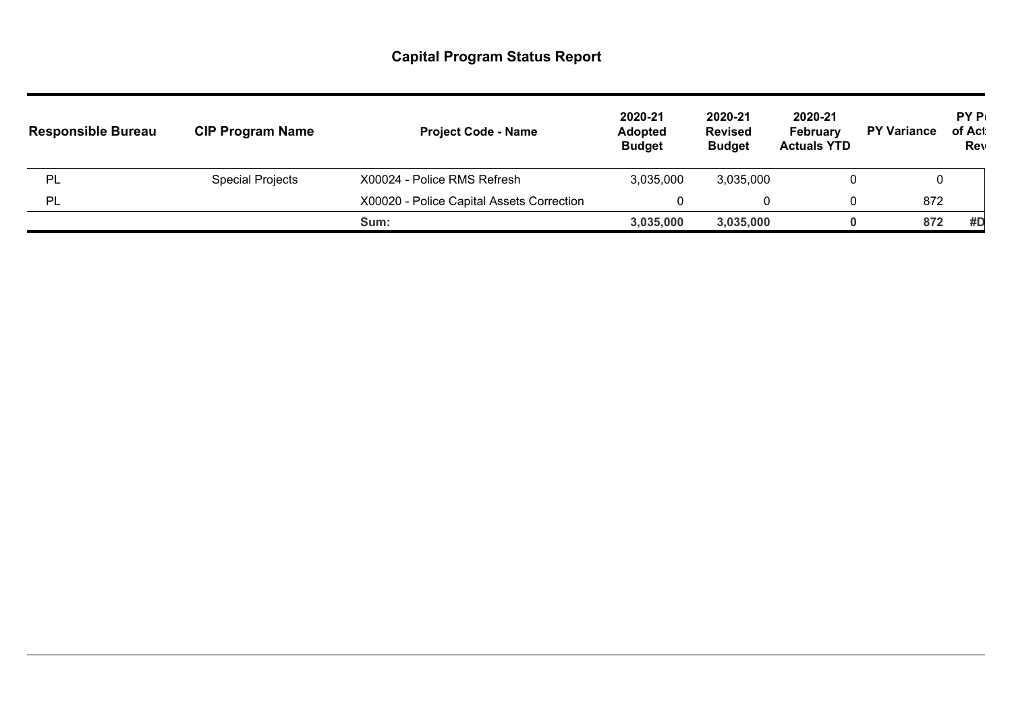| <b>Responsible Bureau</b> | <b>CIP Program Name</b> | <b>Project Code - Name</b>                | 2020-21<br><b>Adopted</b><br><b>Budget</b> | 2020-21<br><b>Revised</b><br><b>Budget</b> | 2020-21<br><b>February</b><br><b>Actuals YTD</b> | <b>PY Variance</b> | <b>PYP</b><br>of Act<br>Rev |
|---------------------------|-------------------------|-------------------------------------------|--------------------------------------------|--------------------------------------------|--------------------------------------------------|--------------------|-----------------------------|
| PL                        | <b>Special Projects</b> | X00024 - Police RMS Refresh               | 3,035,000                                  | 3,035,000                                  |                                                  | υ                  |                             |
| -PL                       |                         | X00020 - Police Capital Assets Correction |                                            |                                            |                                                  | 872                |                             |
|                           |                         | Sum:                                      | 3,035,000                                  | 3,035,000                                  |                                                  | 872                | #D                          |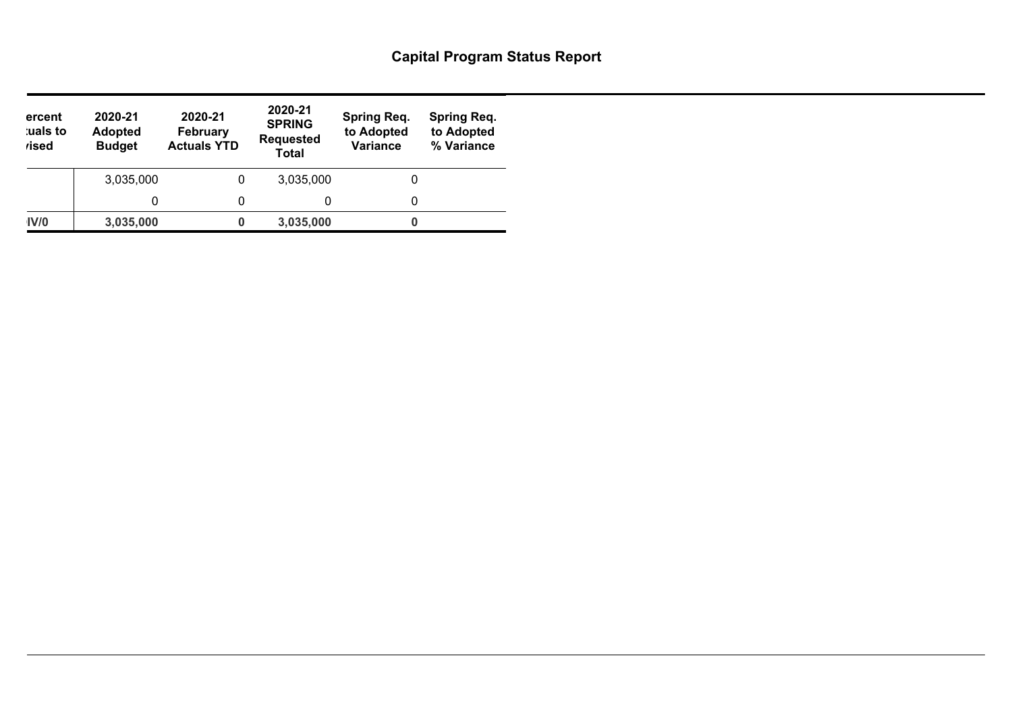| ercent<br>uals to<br><i>r</i> ised | 2020-21<br>2020-21<br><b>Adopted</b><br><b>February</b><br><b>Actuals YTD</b><br><b>Budget</b><br><b>Total</b> |   | 2020-21<br><b>SPRING</b><br><b>Requested</b> | <b>Spring Req.</b><br>to Adopted<br><b>Variance</b> | <b>Spring Req.</b><br>to Adopted<br>% Variance |
|------------------------------------|----------------------------------------------------------------------------------------------------------------|---|----------------------------------------------|-----------------------------------------------------|------------------------------------------------|
|                                    | 3,035,000                                                                                                      | 0 | 3,035,000                                    | 0                                                   |                                                |
|                                    |                                                                                                                |   | 0                                            | 0                                                   |                                                |
| IV/0                               | 3,035,000                                                                                                      | 0 | 3,035,000                                    |                                                     |                                                |